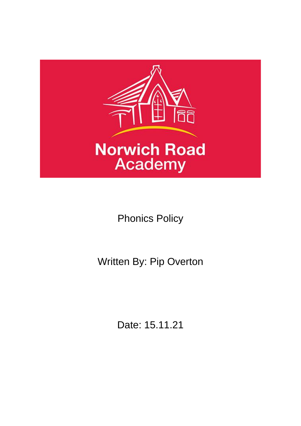

Phonics Policy

Written By: Pip Overton

Date: 15.11.21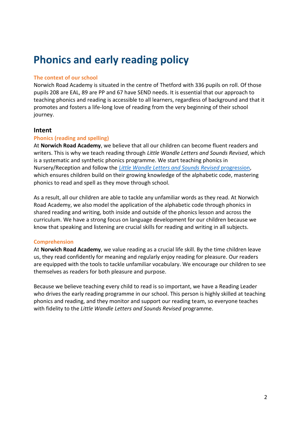# **Phonics and early reading policy**

#### **The context of our school**

Norwich Road Academy is situated in the centre of Thetford with 336 pupils on roll. Of those pupils 208 are EAL, 89 are PP and 67 have SEND needs. It is essential that our approach to teaching phonics and reading is accessible to all learners, regardless of background and that it promotes and fosters a life-long love of reading from the very beginning of their school journey.

### **Intent**

#### **Phonics (reading and spelling)**

At **Norwich Road Academy**, we believe that all our children can become fluent readers and writers. This is why we teach reading through *Little Wandle Letters and Sounds Revised*, which is a systematic and synthetic phonics programme. We start teaching phonics in Nursery/Reception and follow the *[Little Wandle Letters and Sounds Revised](https://www.littlewandlelettersandsounds.org.uk/wp-content/uploads/2021/06/Programme-Overview_Reception-and-Year-1.pdf)* progression, which ensures children build on their growing knowledge of the alphabetic code, mastering phonics to read and spell as they move through school.

As a result, all our children are able to tackle any unfamiliar words as they read. At Norwich Road Academy, we also model the application of the alphabetic code through phonics in shared reading and writing, both inside and outside of the phonics lesson and across the curriculum. We have a strong focus on language development for our children because we know that speaking and listening are crucial skills for reading and writing in all subjects.

#### **Comprehension**

At **Norwich Road Academy**, we value reading as a crucial life skill. By the time children leave us, they read confidently for meaning and regularly enjoy reading for pleasure. Our readers are equipped with the tools to tackle unfamiliar vocabulary. We encourage our children to see themselves as readers for both pleasure and purpose.

Because we believe teaching every child to read is so important, we have a Reading Leader who drives the early reading programme in our school. This person is highly skilled at teaching phonics and reading, and they monitor and support our reading team, so everyone teaches with fidelity to the *Little Wandle Letters and Sounds Revised* programme.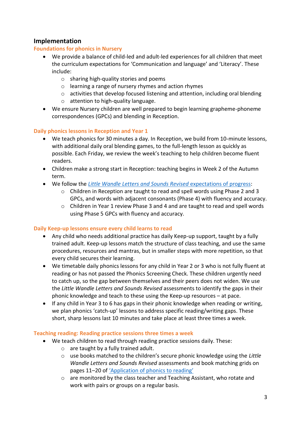## **Implementation**

### **Foundations for phonics in Nursery**

- We provide a balance of child-led and adult-led experiences for all children that meet the curriculum expectations for 'Communication and language' and 'Literacy'. These include:
	- o sharing high-quality stories and poems
	- o learning a range of nursery rhymes and action rhymes
	- $\circ$  activities that develop focused listening and attention, including oral blending
	- o attention to high-quality language.
- We ensure Nursery children are well prepared to begin learning grapheme-phoneme correspondences (GPCs) and blending in Reception.

## **Daily phonics lessons in Reception and Year 1**

- We teach phonics for 30 minutes a day. In Reception, we build from 10-minute lessons, with additional daily oral blending games, to the full-length lesson as quickly as possible. Each Friday, we review the week's teaching to help children become fluent readers.
- Children make a strong start in Reception: teaching begins in Week 2 of the Autumn term.
- We follow the *[Little Wandle Letters and Sounds Revised](https://www.littlewandlelettersandsounds.org.uk/wp-content/uploads/2021/06/Programme-Overview_Reception-and-Year-1.pdf)* expectations of progress:
	- o Children in Reception are taught to read and spell words using Phase 2 and 3 GPCs, and words with adjacent consonants (Phase 4) with fluency and accuracy.
	- o Children in Year 1 review Phase 3 and 4 and are taught to read and spell words using Phase 5 GPCs with fluency and accuracy.

#### **Daily Keep-up lessons ensure every child learns to read**

- Any child who needs additional practice has daily Keep-up support, taught by a fully trained adult. Keep-up lessons match the structure of class teaching, and use the same procedures, resources and mantras, but in smaller steps with more repetition, so that every child secures their learning.
- We timetable daily phonics lessons for any child in Year 2 or 3 who is not fully fluent at reading or has not passed the Phonics Screening Check. These children urgently need to catch up, so the gap between themselves and their peers does not widen. We use the *Little Wandle Letters and Sounds Revised* assessments to identify the gaps in their phonic knowledge and teach to these using the Keep-up resources – at pace.
- If any child in Year 3 to 6 has gaps in their phonic knowledge when reading or writing, we plan phonics 'catch-up' lessons to address specific reading/writing gaps. These short, sharp lessons last 10 minutes and take place at least three times a week.

#### **Teaching reading: Reading practice sessions three times a week**

- We teach children to read through reading practice sessions daily. These:
	- o are taught by a fully trained adult.
	- o use books matched to the children's secure phonic knowledge using the *Little Wandle Letters and Sounds Revised* assessments and book matching grids on pages 11–20 of ['Application of phonics to reading'](https://www.littlewandlelettersandsounds.org.uk/wp-content/uploads/2021/03/LS-KEY-GUIDANCE-APPLICATION-OF-PHONICS-FINAL-1.pdf)
	- $\circ$  are monitored by the class teacher and Teaching Assistant, who rotate and work with pairs or groups on a regular basis.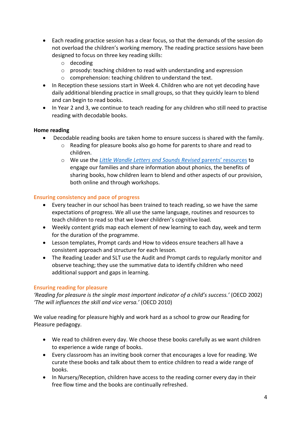- Each reading practice session has a clear focus, so that the demands of the session do not overload the children's working memory. The reading practice sessions have been designed to focus on three key reading skills:
	- o decoding
	- o prosody: teaching children to read with understanding and expression
	- o comprehension: teaching children to understand the text.
- In Reception these sessions start in Week 4. Children who are not yet decoding have daily additional blending practice in small groups, so that they quickly learn to blend and can begin to read books.
- In Year 2 and 3, we continue to teach reading for any children who still need to practise reading with decodable books.

#### **Home reading**

- Decodable reading books are taken home to ensure success is shared with the family.
	- o Reading for pleasure books also go home for parents to share and read to children.
	- o We use the *[Little Wandle Letters and](https://www.littlewandlelettersandsounds.org.uk/resources/for-parents/) Sounds Revised* parents' resources to engage our families and share information about phonics, the benefits of sharing books, how children learn to blend and other aspects of our provision, both online and through workshops.

#### **Ensuring consistency and pace of progress**

- Every teacher in our school has been trained to teach reading, so we have the same expectations of progress. We all use the same language, routines and resources to teach children to read so that we lower children's cognitive load.
- Weekly content grids map each element of new learning to each day, week and term for the duration of the programme.
- Lesson templates, Prompt cards and How to videos ensure teachers all have a consistent approach and structure for each lesson.
- The Reading Leader and SLT use the Audit and Prompt cards to regularly monitor and observe teaching; they use the summative data to identify children who need additional support and gaps in learning.

#### **Ensuring reading for pleasure**

*'Reading for pleasure is the single most important indicator of a child's success.'* (OECD 2002) *'The will influences the skill and vice versa.'* (OECD 2010)

We value reading for pleasure highly and work hard as a school to grow our Reading for Pleasure pedagogy.

- We read to children every day. We choose these books carefully as we want children to experience a wide range of books.
- Every classroom has an inviting book corner that encourages a love for reading. We curate these books and talk about them to entice children to read a wide range of books.
- In Nursery/Reception, children have access to the reading corner every day in their free flow time and the books are continually refreshed.